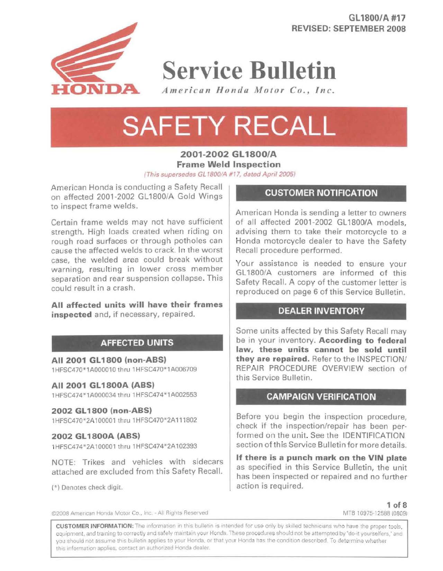**GL 1800/A #17 REVISED: SEPTEMBER 2008** 



**Service Bulletin** 

*American Honda Motor Co., Inc.* 

# **SAFETY RECALL**

**2001-2002 GL 1800/A Frame Weld Inspection**  (This supersedes GL 1800/A #17, dated April 2005)

American Honda is conducting a Safety Recall on affected 2001-2002 GL1800/A Gold Wings to inspect frame welds.

Certain frame welds may not have sufficient strength. High loads created when riding on rough road surfaces or through potholes can cause the affected welds to crack. In the worst case, the welded area could break without warning, resulting in lower cross member separation and rear suspension collapse. This could result in a crash.

**All affected units will have their frames inspected** and, if necessary, repaired.

# **AFFECTED UNITS**

**All 2001 GL 1800 (non-ABS)**  1HFSC470 1A000010 thru 1HFSC470\* 1A006709

## **All 2001 GL 1800A (ABS)**

1 HFSC474\* 1A000034 thru 1 HFSC474 \* 1A002553

## **2002 GL 1800 (non-ABS)**

1HFSC470\* 2A100001 thru 1HFSC470 2A111802

#### **2002 GL 1800A (ASS)**

1HFSC474\* 2A100001 thru 1HFSC474"2A102393

NOTE: Trikes and vehicles with sidecars attached are excluded from this Safety Recall.

(\*) Denotes check digit.

# **CUSTOMER NOTIFICATION**

American Honda is sending a letter to owners of all affected 2001-2002 GL1800/A models, advising them to take their motorcycle to a Honda motorcycle dealer to have the Safety Recall procedure performed.

Your assistance is needed to ensure your GL 1800/A customers are informed of this Safety Recall. A copy of the customer letter is reproduced on page 6 of this Service Bulletin.

## **DEALER INVENTORY**

Some units affected by this Safety Recall may be in your inventory. **According to federal law, these units cannot be sold until they are repaired.** Refer to the INSPECTION/ REPAIR PROCEDURE OVERVIEW section of this Service Bulletin.

## **CAMPAIGN VERIFICATION**

Before you begin the inspection procedure, check if the inspection/repair has been performed on the unit. See the IDENTIFICATION section of this Service Bulletin for more details.

**If there is a punch mark on the VIN plate**  as specified in this Service Bulletin, the unit has been inspected or repaired and no further action is required.

©2008 American Honda Motor Co., Inc. - All Rights Reserved

**1** of 8 MTB 10975 12588 (0809)

CUSTOMER INFORMATION: The information in this bulletin is intended for use only by skilled technicians who have the proper tools, equipment, and training to correctly and safely maintain your Honda. These procedures should not be attempted by "do-it yourselfers," and you should not assume this bulletin applies to your Honda, or that your Honda has the condition described. To determine whether this information applies, contact an authorized Honda dealer.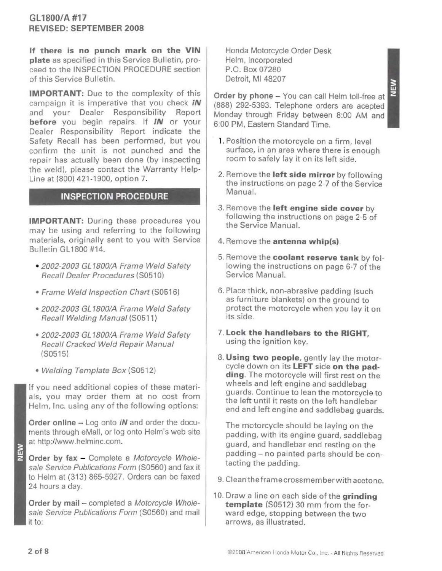**If there is no punch mark on the VIN plate** as specified in this Service Bulletin, proceed to the INSPECTION PROCEDURE section of this Service Bulletin.

**IMPORTANT:** Due to the complexity of this campaign it is imperative that you check **iN**  and your Dealer Responsibility Report **before** you begin repairs. If **iN** or your Dealer Responsibility Report indicate the Safety Recall has been performed, but you confirm the unit is not punched and the repair has actually been done (by inspecting the weld), please contact the Warranty Help-Line at (800) 421-1900, option 7.

# **INSPECTION PROCEDURE**

**IMPORTANT:** During these procedures you may be using and referring to the following materials, originally sent to you with Service Bulletin GL 1800 #14.

- 2002-2003 GL 1800/A Frame Weld Safety Recall Dealer Procedures (S0510)
- Frame Weld Inspection Chart (S0516)
- 2002-2003 GL 1800/A Frame Weld Safety Recall Welding Manual (S0511)
- 2002-2003 GL 1800/A Frame Weld Safety Recall Cracked Weld Repair Manual (S0515)
- Welding Template Box (S0512)

If you need additional copies of these materials, you may order them at no cost from Helm, Inc. using any of the following options:

**Order online** - Log onto **iN** and order the documents through eMail, or log onto Helm's web site at http://www.helminc.com.

**Order by fax** - Complete a Motorcycle Wholesale Service Publications Form (S0560) and fax it to Helm at (313) 865-5927. Orders can be faxed 24 hours a day.

**Order by mail** - completed a Motorcycle Wholesale Service Publications Form (S0560) and mail it to:

Honda Motorcycle Order Desk Helm, Incorporated P.O. Box 07280 Detroit, Ml 48207

**Order by phone** - You can call Helm toll-free at (888) 292-5393. Telephone orders are acepted Monday through Friday between 8:00 AM and 6:00PM. Eastern Standard Time.

- **1.** Position the motorcycle on a firm, level surface, in an area where there is enough room to safely lay it on its left side.
- 2. Remove the **left side mirror** by following the instructions on page 2-7 of the Service Manual.
- 3. Remove the **left engine side cover** by following the instructions on page 2-5 of the Service Manual.
- 4. Remove the **antenna whip(s).**
- 5. Remove the **coolant reserve tank** by following the instructions on page 6-7 of the Service Manual.
- 6. Place thick, non-abrasive padding (such as furniture blankets) on the ground to protect the motorcycle when you lay it on its side.
- 7. **Lock the handlebars to the RIGHT,**  using the ignition key.
- 8. **Using two people,** gently lay the motorcycle down on its **LEFT** side **on the padding.** The motorcycle will first rest on the wheels and left engine and saddlebag guards. Continue to lean the motorcycle to the left until it rests on the left handlebar end and left engine and saddlebag guards.

The motorcycle should be laying on the padding, with its engine guard, saddlebag guard, and handlebar end resting on the padding- no painted parts should be contacting the padding.

- 9. Cleantheframecrossmemberwith acetone.
- 10. Draw a line on each side of the **grinding template** (S0512) 30 mm from the forward edge, stopping between the two arrows, as illustrated.

NEW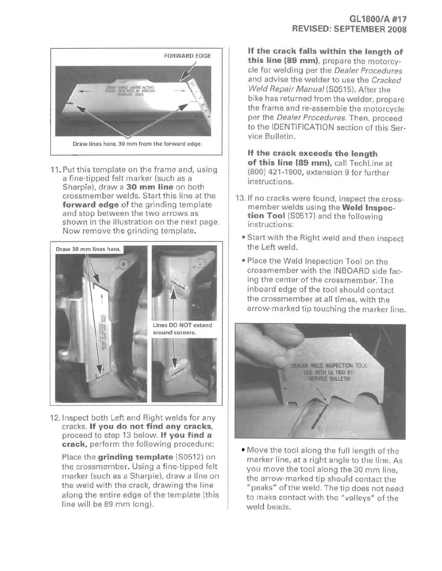

11. Put this template on the frame and, using a fine-tipped felt marker (such as a Sharpie), draw a **30 mm line** on both crossmember welds. Start this line at the **forward edge** of the grinding template and stop between the two arrows as shown in the illustration on the next page. Now remove the grinding template.



12. Inspect both Left and Right welds for any cracks. **If you do not find any cracks,**  proceed to step 13 below. **If you find a crack,** perform the following procedure:

Place the **grinding template** (\$0512) on the crossmember. Using a fine-tipped felt marker (such as a Sharpie), draw a line on the weld with the crack, drawing the line along the entire edge of the template (this line will be 89 mm long).

## **GL 1800/A #17 REVISED: SEPTEMBER 2008**

**If the crack falls within the length of this line (89 mm),** prepare the motorcycle for welding per the Dealer Procedures and advise the welder to use the Cracked Weld Repair Manual (50515). After the bike has returned from the welder, prepare the frame and re-assemble the motorcycle per the Dealer Procedures. Then, proceed to the IDENTIFICATION section of this Service Bulletin.

**If the crack exceeds the length of this line (89 mm),** call Techline at (800) 421-1900, extension 9 for further instructions.

- 13.1f no cracks were found, inspect the crossmember welds using the **Weld Inspection Tool** (50517) and the following instructions:
	- Start with the Right weld and then inspect the Left weld.
	- Place the Weld Inspection Tool on the crossmember with the INBOARD side facing the center of the crossmember. The inboard edge of the tool should contact the crossmember at all times, with the arrow-marked tip touching the marker line.



• Move the tool along the full length of the marker line, at a right angle to the line. As you move the tool along the 30 mm line, the arrow-marked tip should contact the "peaks" of the weld. The tip does not need to make contact with the "valleys" of the weld beads.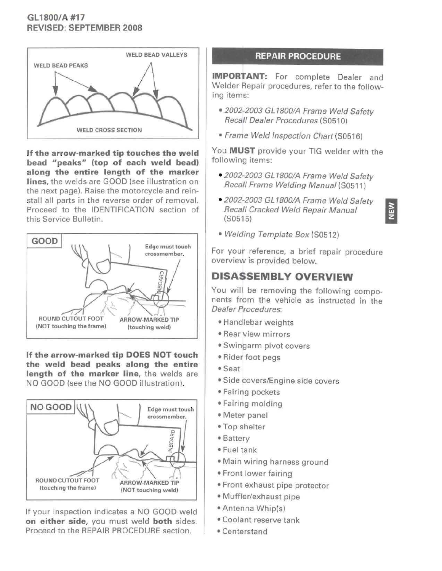# **GL1800/A #17 REVISED: SEPTEMBER 2008**



**If the arrow-marked tip touches the weld bead "peaks" (top of each weld bead) along the entire length of the marker lines,** the welds are GOOD (see illustration on the next page}. Raise the motorcycle and reinstall all parts in the reverse order of removal. Proceed to the IDENTIFICATION section of this Service Bulletin.



**If the arrow-marked tip DOES NOT touch the weld bead peaks along the entire length of the marker line,** the welds are NO GOOD (see the NO GOOD illustration).



If your inspection indicates a NO GOOD weld **on either side,** you must weld **both** sides. Proceed to the REPAIR PROCEDURE section.

# **REPAIR PROCEDURE**

**IMPORTANT:** For complete Dealer and Welder Repair procedures, refer to the following items:

- 2002-2003 GL 1800/A Frame Weld Safety Recall Dealer Procedures (S0510)
- Frame Weld Inspection Chart (50516)

You **MUST** provide your TIG welder with the following items:

- 2002-2003 GL 1800/A Frame Weld Safety Recall Frame Welding Manual (50511)
- 2002-2003 GL 1800/A Frame Weld Safety<br>Recall Cracked Weld Repair Manual Recall Cracked Weld Repair Manual (50515}



• Welding Template Box (50512)

For your reference, a brief repair procedure overview is provided below.

# **DISASSEMBLY OVERVIEW**

You will be removing the following components from the vehicle as instructed in the Dealer Procedures:

- Handlebar weights
- Rear view mirrors
- Swingarm pivot covers
- Rider foot pegs
- Seat
- Side covers/Engine side covers
- Fairing pockets
- Fairing molding
- Meter panel
- Top shelter
- Battery
- Fuel tank
- Main wiring harness ground
- Front lower fairing
- Front exhaust pipe protector
- Muffler/exhaust pipe
- Antenna Whip(s)
- Coolant reserve tank
- Centerstand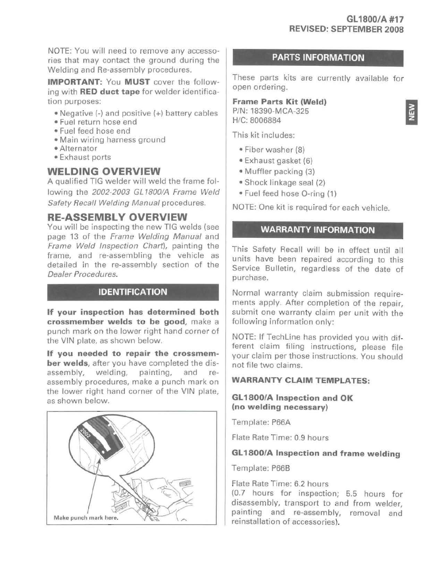NOTE: You will need to remove any accessories that may contact the ground during the Welding and Re-assembly procedures.

**IMPORTANT:** You **MUST** cover the following with **RED duct tape** for welder identification purposes:

- Negative (-}and positive (+} battery cables
- Fuel return hose end
- Fuel feed hose end
- Main wiring harness ground
- Alternator
- Exhaust ports

# **WELDING OVERVIEW**

A qualified TIG welder will weld the frame following the 2002-2003 GL 1800/A Frame Weld Safety Recall Welding Manual procedures.

# **RE-ASSEMBLY OVERVIEW**

You will be inspecting the new TIG welds (see page 13 of the Frame Welding Manual and Frame Weld Inspection Chart), painting the frame, and re-assembling the vehicle as detailed in the re-assembly section of the Dealer Procedures.

# **IDENTIFICATION**

**If your inspection has determined both crossmember welds to be good,** make a punch mark on the lower right hand corner of the VIN plate, as shown below.

**If you needed to repair the crossmember welds,** after you have completed the disassembly, welding, painting, and reassembly procedures, make a punch mark on the lower right hand corner of the VIN plate, as shown below.



# **PARTS INFORMATION**

These parts kits are currently available for open ordering.

#### **Frame Parts Kit (Weld)**  P/N: 18390-MCA-325 H/C:8006884

This kit includes:

- Fiber washer (8}
- Exhaust gasket (6)
- Muffler packing (3}
- Shock linkage seal (2)
- Fuel feed hose 0 -ring (1)

NOTE: One kit is required for each vehicle.

## **WARRANTY INFORMATION**

This Safety Recall will be in effect until all units have been repaired according to this Service Bulletin, regardless of the date of purchase.

Normal warranty claim submission requirements apply. After completion of the repair, submit one warranty claim per unit with the following information only:

NOTE: If Techline has provided you with different claim filing instructions, please file your claim per those instructions. You should not file two claims.

## **WARRANTY CLAIM TEMPLATES:**

## **GL1800/A Inspection and OK (no welding necessary)**

Template: P66A

Flate Rate Time: 0.9 hours

# **GL1800/A Inspection and frame welding**

Template: P668

Flate Rate Time: 6.2 hours

(0.7 hours for inspection; 5.5 hours for disassembly, transport to and from welder, painting and re-assembly, removal and reinstallation of accessories}.

**NEW**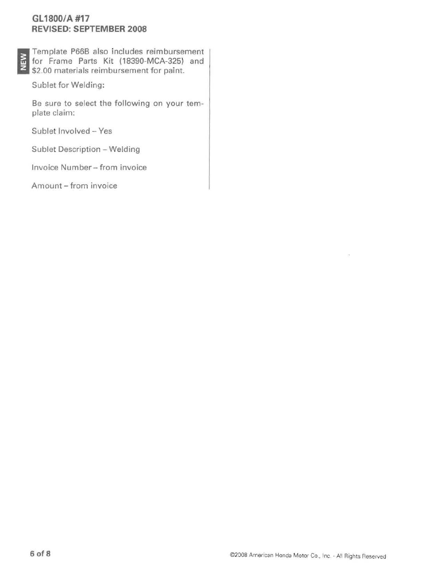# **GL1800/A #17 REVISED: SEPTEMBER 2008**

I Template P66B also includes reimbursement<br>I for Frame Parts Kit (18390-MCA-325) and<br>I \$2.00 materials reimbursement for paint. for Frame Parts Kit (18390-MCA-325) and \$2.00 materials reimbursement for paint.

Sublet for Welding:

Be sure to select the following on your template claim:

Sublet Involved- Yes

Sublet Description- Welding

Invoice Number - from invoice

Amount - from invoice